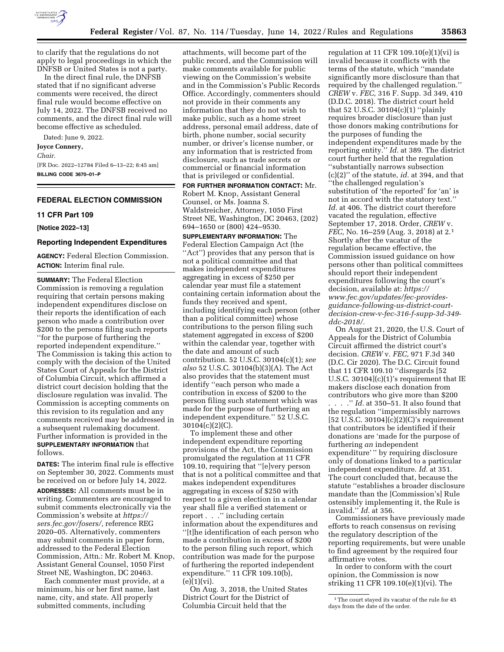

to clarify that the regulations do not apply to legal proceedings in which the DNFSB or United States is not a party.

In the direct final rule, the DNFSB stated that if no significant adverse comments were received, the direct final rule would become effective on July 14, 2022. The DNFSB received no comments, and the direct final rule will become effective as scheduled.

Dated: June 9, 2022. **Joyce Connery,**  *Chair.*  [FR Doc. 2022–12784 Filed 6–13–22; 8:45 am] **BILLING CODE 3670–01–P** 

# **FEDERAL ELECTION COMMISSION**

## **11 CFR Part 109**

## **[Notice 2022–13]**

## **Reporting Independent Expenditures**

**AGENCY:** Federal Election Commission. **ACTION:** Interim final rule.

**SUMMARY:** The Federal Election Commission is removing a regulation requiring that certain persons making independent expenditures disclose on their reports the identification of each person who made a contribution over \$200 to the persons filing such reports ''for the purpose of furthering the reported independent expenditure.'' The Commission is taking this action to comply with the decision of the United States Court of Appeals for the District of Columbia Circuit, which affirmed a district court decision holding that the disclosure regulation was invalid. The Commission is accepting comments on this revision to its regulation and any comments received may be addressed in a subsequent rulemaking document. Further information is provided in the **SUPPLEMENTARY INFORMATION** that follows.

**DATES:** The interim final rule is effective on September 30, 2022. Comments must be received on or before July 14, 2022. **ADDRESSES:** All comments must be in writing. Commenters are encouraged to submit comments electronically via the Commission's website at *[https://](https://sers.fec.gov/fosers/) [sers.fec.gov/fosers/,](https://sers.fec.gov/fosers/)* reference REG 2020–05. Alternatively, commenters may submit comments in paper form, addressed to the Federal Election Commission, Attn.: Mr. Robert M. Knop, Assistant General Counsel, 1050 First Street NE, Washington, DC 20463.

Each commenter must provide, at a minimum, his or her first name, last name, city, and state. All properly submitted comments, including

attachments, will become part of the public record, and the Commission will make comments available for public viewing on the Commission's website and in the Commission's Public Records Office. Accordingly, commenters should not provide in their comments any information that they do not wish to make public, such as a home street address, personal email address, date of birth, phone number, social security number, or driver's license number, or any information that is restricted from disclosure, such as trade secrets or commercial or financial information that is privileged or confidential.

**FOR FURTHER INFORMATION CONTACT:** Mr. Robert M. Knop, Assistant General Counsel, or Ms. Joanna S. Waldstreicher, Attorney, 1050 First Street NE, Washington, DC 20463, (202) 694–1650 or (800) 424–9530.

**SUPPLEMENTARY INFORMATION:** The Federal Election Campaign Act (the "Act") provides that any person that is not a political committee and that makes independent expenditures aggregating in excess of \$250 per calendar year must file a statement containing certain information about the funds they received and spent, including identifying each person (other than a political committee) whose contributions to the person filing such statement aggregated in excess of \$200 within the calendar year, together with the date and amount of such contribution. 52 U.S.C. 30104(c)(1); *see also* 52 U.S.C. 30104(b)(3)(A). The Act also provides that the statement must identify ''each person who made a contribution in excess of \$200 to the person filing such statement which was made for the purpose of furthering an independent expenditure.'' 52 U.S.C. 30104(c)(2)(C).

To implement these and other independent expenditure reporting provisions of the Act, the Commission promulgated the regulation at 11 CFR 109.10, requiring that ''[e]very person that is not a political committee and that makes independent expenditures aggregating in excess of \$250 with respect to a given election in a calendar year shall file a verified statement or report . . .'' including certain information about the expenditures and ''[t]he identification of each person who made a contribution in excess of \$200 to the person filing such report, which contribution was made for the purpose of furthering the reported independent expenditure.'' 11 CFR 109.10(b),  $(e)(1)(vi).$ 

On Aug. 3, 2018, the United States District Court for the District of Columbia Circuit held that the

regulation at 11 CFR  $109.10(e)(1)(vi)$  is invalid because it conflicts with the terms of the statute, which ''mandate significantly more disclosure than that required by the challenged regulation.'' *CREW* v. *FEC,* 316 F. Supp. 3d 349, 410 (D.D.C. 2018). The district court held that 52 U.S.C. 30104(c)(1) ''plainly requires broader disclosure than just those donors making contributions for the purposes of funding the independent expenditures made by the reporting entity.'' *Id.* at 389. The district court further held that the regulation ''substantially narrows subsection (c)(2)'' of the statute, *id.* at 394, and that ''the challenged regulation's substitution of 'the reported' for 'an' is not in accord with the statutory text.'' *Id.* at 406. The district court therefore vacated the regulation, effective September 17, 2018. Order, *CREW* v. *FEC,* No. 16–259 (Aug. 3, 2018) at 2.1 Shortly after the vacatur of the regulation became effective, the Commission issued guidance on how persons other than political committees should report their independent expenditures following the court's decision, available at: *[https://](https://www.fec.gov/updates/fec-provides-guidance-following-us-district-court-decision-crew-v-fec-316-f-supp-3d-349-ddc-2018) [www.fec.gov/updates/fec-provides](https://www.fec.gov/updates/fec-provides-guidance-following-us-district-court-decision-crew-v-fec-316-f-supp-3d-349-ddc-2018)[guidance-following-us-district-court](https://www.fec.gov/updates/fec-provides-guidance-following-us-district-court-decision-crew-v-fec-316-f-supp-3d-349-ddc-2018)[decision-crew-v-fec-316-f-supp-3d-349](https://www.fec.gov/updates/fec-provides-guidance-following-us-district-court-decision-crew-v-fec-316-f-supp-3d-349-ddc-2018)  [ddc-2018/.](https://www.fec.gov/updates/fec-provides-guidance-following-us-district-court-decision-crew-v-fec-316-f-supp-3d-349-ddc-2018)* 

On August 21, 2020, the U.S. Court of Appeals for the District of Columbia Circuit affirmed the district court's decision. *CREW* v. *FEC,* 971 F.3d 340 (D.C. Cir 2020). The D.C. Circuit found that 11 CFR 109.10 ''disregards [52 U.S.C. 30104](c)(1)'s requirement that IE makers disclose each donation from contributors who give more than \$200

. . . .'' *Id.* at 350–51. It also found that the regulation ''impermissibly narrows  $[52 \text{ U.S.C. } 30104]$  $(c)(2)(C)$ 's requirement that contributors be identified if their donations are 'made for the purpose of furthering *an* independent expenditure' '' by requiring disclosure only of donations linked to a particular independent expenditure. *Id.* at 351. The court concluded that, because the statute ''establishes a broader disclosure mandate than the [Commission's] Rule ostensibly implementing it, the Rule is invalid.'' *Id.* at 356.

Commissioners have previously made efforts to reach consensus on revising the regulatory description of the reporting requirements, but were unable to find agreement by the required four affirmative votes.

In order to conform with the court opinion, the Commission is now striking 11 CFR 109.10(e)(1)(vi). The

<sup>&</sup>lt;sup>1</sup>The court stayed its vacatur of the rule for 45 days from the date of the order.